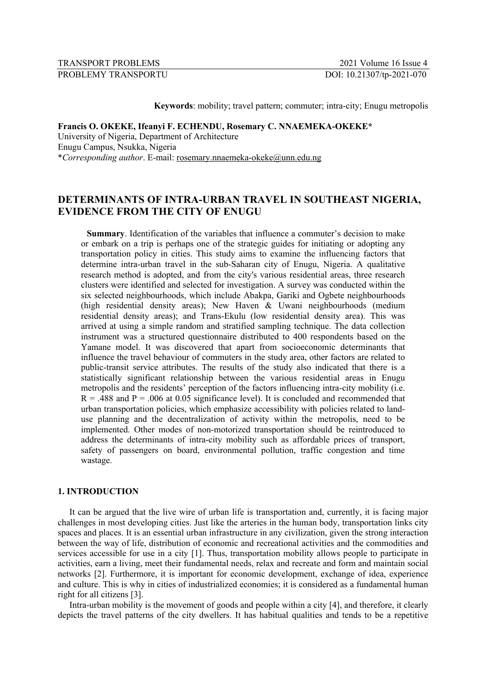TRANSPORT PROBLEMS 2021 Volume 16 Issue 4

**Keywords**: mobility; travel pattern; commuter; intra-city; Enugu metropolis

# **Francis O. OKEKE, Ifeanyi F. ECHENDU, Rosemary C. NNAEMEKA-OKEKE\*** University of Nigeria, Department of Architecture Enugu Campus, Nsukka, Nigeria \**Corresponding author*. E-mail: rosemary.nnaemeka-okeke@unn.edu.ng

# **DETERMINANTS OF INTRA-URBAN TRAVEL IN SOUTHEAST NIGERIA, EVIDENCE FROM THE CITY OF ENUGU**

**Summary**. Identification of the variables that influence a commuter's decision to make or embark on a trip is perhaps one of the strategic guides for initiating or adopting any transportation policy in cities. This study aims to examine the influencing factors that determine intra-urban travel in the sub-Saharan city of Enugu, Nigeria. A qualitative research method is adopted, and from the city's various residential areas, three research clusters were identified and selected for investigation. A survey was conducted within the six selected neighbourhoods, which include Abakpa, Gariki and Ogbete neighbourhoods (high residential density areas); New Haven & Uwani neighbourhoods (medium residential density areas); and Trans-Ekulu (low residential density area). This was arrived at using a simple random and stratified sampling technique. The data collection instrument was a structured questionnaire distributed to 400 respondents based on the Yamane model. It was discovered that apart from socioeconomic determinants that influence the travel behaviour of commuters in the study area, other factors are related to public-transit service attributes. The results of the study also indicated that there is a statistically significant relationship between the various residential areas in Enugu metropolis and the residents' perception of the factors influencing intra-city mobility (i.e.  $R = .488$  and  $P = .006$  at 0.05 significance level). It is concluded and recommended that urban transportation policies, which emphasize accessibility with policies related to landuse planning and the decentralization of activity within the metropolis, need to be implemented. Other modes of non-motorized transportation should be reintroduced to address the determinants of intra-city mobility such as affordable prices of transport, safety of passengers on board, environmental pollution, traffic congestion and time wastage.

# **1. INTRODUCTION**

It can be argued that the live wire of urban life is transportation and, currently, it is facing major challenges in most developing cities. Just like the arteries in the human body, transportation links city spaces and places. It is an essential urban infrastructure in any civilization, given the strong interaction between the way of life, distribution of economic and recreational activities and the commodities and services accessible for use in a city [1]. Thus, transportation mobility allows people to participate in activities, earn a living, meet their fundamental needs, relax and recreate and form and maintain social networks [2]. Furthermore, it is important for economic development, exchange of idea, experience and culture. This is why in cities of industrialized economies; it is considered as a fundamental human right for all citizens [3].

Intra-urban mobility is the movement of goods and people within a city [4], and therefore, it clearly depicts the travel patterns of the city dwellers. It has habitual qualities and tends to be a repetitive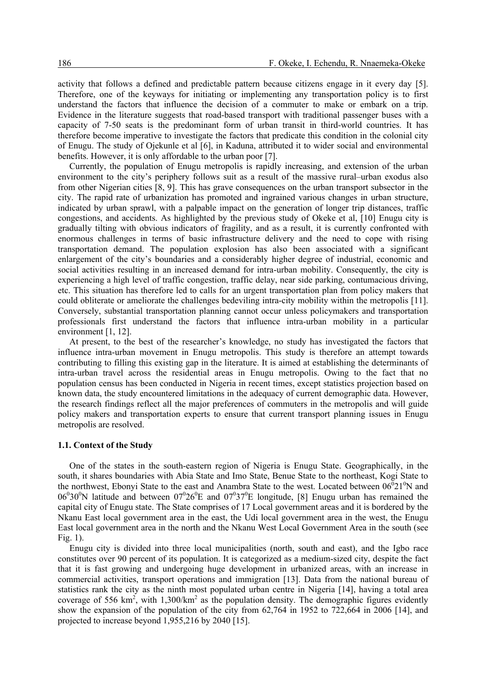activity that follows a defined and predictable pattern because citizens engage in it every day [5]. Therefore, one of the keyways for initiating or implementing any transportation policy is to first understand the factors that influence the decision of a commuter to make or embark on a trip. Evidence in the literature suggests that road-based transport with traditional passenger buses with a capacity of 7-50 seats is the predominant form of urban transit in third-world countries. It has therefore become imperative to investigate the factors that predicate this condition in the colonial city of Enugu. The study of Ojekunle et al [6], in Kaduna, attributed it to wider social and environmental benefits. However, it is only affordable to the urban poor [7].

Currently, the population of Enugu metropolis is rapidly increasing, and extension of the urban environment to the city's periphery follows suit as a result of the massive rural–urban exodus also from other Nigerian cities [8, 9]. This has grave consequences on the urban transport subsector in the city. The rapid rate of urbanization has promoted and ingrained various changes in urban structure, indicated by urban sprawl, with a palpable impact on the generation of longer trip distances, traffic congestions, and accidents. As highlighted by the previous study of Okeke et al, [10] Enugu city is gradually tilting with obvious indicators of fragility, and as a result, it is currently confronted with enormous challenges in terms of basic infrastructure delivery and the need to cope with rising transportation demand. The population explosion has also been associated with a significant enlargement of the city's boundaries and a considerably higher degree of industrial, economic and social activities resulting in an increased demand for intra-urban mobility. Consequently, the city is experiencing a high level of traffic congestion, traffic delay, near side parking, contumacious driving, etc. This situation has therefore led to calls for an urgent transportation plan from policy makers that could obliterate or ameliorate the challenges bedeviling intra-city mobility within the metropolis [11]. Conversely, substantial transportation planning cannot occur unless policymakers and transportation professionals first understand the factors that influence intra-urban mobility in a particular environment [1, 12].

At present, to the best of the researcher's knowledge, no study has investigated the factors that influence intra-urban movement in Enugu metropolis. This study is therefore an attempt towards contributing to filling this existing gap in the literature. It is aimed at establishing the determinants of intra-urban travel across the residential areas in Enugu metropolis. Owing to the fact that no population census has been conducted in Nigeria in recent times, except statistics projection based on known data, the study encountered limitations in the adequacy of current demographic data. However, the research findings reflect all the major preferences of commuters in the metropolis and will guide policy makers and transportation experts to ensure that current transport planning issues in Enugu metropolis are resolved.

#### **1.1. Context of the Study**

One of the states in the south-eastern region of Nigeria is Enugu State. Geographically, in the south, it shares boundaries with Abia State and Imo State, Benue State to the northeast, Kogi State to the northwest, Ebonyi State to the east and Anambra State to the west. Located between  $06^{0}21^{0}N$  and  $06^030^0$ N latitude and between  $07^026^0$ E and  $07^037^0$ E longitude, [8] Enugu urban has remained the capital city of Enugu state. The State comprises of 17 Local government areas and it is bordered by the Nkanu East local government area in the east, the Udi local government area in the west, the Enugu East local government area in the north and the Nkanu West Local Government Area in the south (see Fig. 1).

Enugu city is divided into three local municipalities (north, south and east), and the Igbo race constitutes over 90 percent of its population. It is categorized as a medium-sized city, despite the fact that it is fast growing and undergoing huge development in urbanized areas, with an increase in commercial activities, transport operations and immigration [13]. Data from the national bureau of statistics rank the city as the ninth most populated urban centre in Nigeria [14], having a total area coverage of 556 km<sup>2</sup>, with 1,300/km<sup>2</sup> as the population density. The demographic figures evidently show the expansion of the population of the city from 62,764 in 1952 to 722,664 in 2006 [14], and projected to increase beyond 1,955,216 by 2040 [15].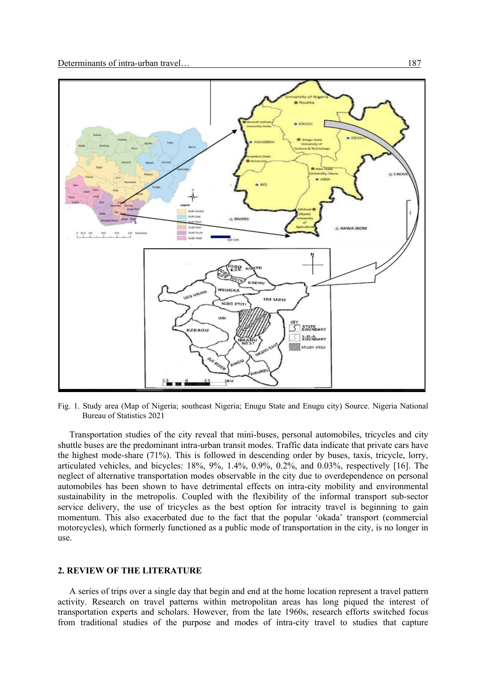

Fig. 1. Study area (Map of Nigeria; southeast Nigeria; Enugu State and Enugu city) Source. Nigeria National Bureau of Statistics 2021

Transportation studies of the city reveal that mini-buses, personal automobiles, tricycles and city shuttle buses are the predominant intra-urban transit modes. Traffic data indicate that private cars have the highest mode-share (71%). This is followed in descending order by buses, taxis, tricycle, lorry, articulated vehicles, and bicycles: 18%, 9%, 1.4%, 0.9%, 0.2%, and 0.03%, respectively [16]. The neglect of alternative transportation modes observable in the city due to overdependence on personal automobiles has been shown to have detrimental effects on intra-city mobility and environmental sustainability in the metropolis. Coupled with the flexibility of the informal transport sub-sector service delivery, the use of tricycles as the best option for intracity travel is beginning to gain momentum. This also exacerbated due to the fact that the popular 'okada' transport (commercial motorcycles), which formerly functioned as a public mode of transportation in the city, is no longer in use.

### **2. REVIEW OF THE LITERATURE**

A series of trips over a single day that begin and end at the home location represent a travel pattern activity. Research on travel patterns within metropolitan areas has long piqued the interest of transportation experts and scholars. However, from the late 1960s, research efforts switched focus from traditional studies of the purpose and modes of intra-city travel to studies that capture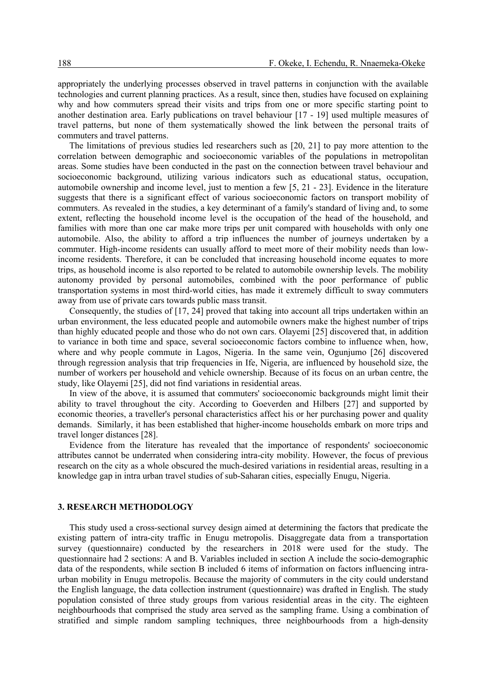appropriately the underlying processes observed in travel patterns in conjunction with the available technologies and current planning practices. As a result, since then, studies have focused on explaining why and how commuters spread their visits and trips from one or more specific starting point to another destination area. Early publications on travel behaviour [17 - 19] used multiple measures of travel patterns, but none of them systematically showed the link between the personal traits of commuters and travel patterns.

The limitations of previous studies led researchers such as [20, 21] to pay more attention to the correlation between demographic and socioeconomic variables of the populations in metropolitan areas. Some studies have been conducted in the past on the connection between travel behaviour and socioeconomic background, utilizing various indicators such as educational status, occupation, automobile ownership and income level, just to mention a few [5, 21 - 23]. Evidence in the literature suggests that there is a significant effect of various socioeconomic factors on transport mobility of commuters. As revealed in the studies, a key determinant of a family's standard of living and, to some extent, reflecting the household income level is the occupation of the head of the household, and families with more than one car make more trips per unit compared with households with only one automobile. Also, the ability to afford a trip influences the number of journeys undertaken by a commuter. High-income residents can usually afford to meet more of their mobility needs than lowincome residents. Therefore, it can be concluded that increasing household income equates to more trips, as household income is also reported to be related to automobile ownership levels. The mobility autonomy provided by personal automobiles, combined with the poor performance of public transportation systems in most third-world cities, has made it extremely difficult to sway commuters away from use of private cars towards public mass transit.

Consequently, the studies of [17, 24] proved that taking into account all trips undertaken within an urban environment, the less educated people and automobile owners make the highest number of trips than highly educated people and those who do not own cars. Olayemi [25] discovered that, in addition to variance in both time and space, several socioeconomic factors combine to influence when, how, where and why people commute in Lagos, Nigeria. In the same vein, Ogunjumo [26] discovered through regression analysis that trip frequencies in Ife, Nigeria, are influenced by household size, the number of workers per household and vehicle ownership. Because of its focus on an urban centre, the study, like Olayemi [25], did not find variations in residential areas.

In view of the above, it is assumed that commuters' socioeconomic backgrounds might limit their ability to travel throughout the city. According to Goeverden and Hilbers [27] and supported by economic theories, a traveller's personal characteristics affect his or her purchasing power and quality demands. Similarly, it has been established that higher-income households embark on more trips and travel longer distances [28].

Evidence from the literature has revealed that the importance of respondents' socioeconomic attributes cannot be underrated when considering intra-city mobility. However, the focus of previous research on the city as a whole obscured the much-desired variations in residential areas, resulting in a knowledge gap in intra urban travel studies of sub-Saharan cities, especially Enugu, Nigeria.

### **3. RESEARCH METHODOLOGY**

This study used a cross-sectional survey design aimed at determining the factors that predicate the existing pattern of intra-city traffic in Enugu metropolis. Disaggregate data from a transportation survey (questionnaire) conducted by the researchers in 2018 were used for the study. The questionnaire had 2 sections: A and B. Variables included in section A include the socio-demographic data of the respondents, while section B included 6 items of information on factors influencing intraurban mobility in Enugu metropolis. Because the majority of commuters in the city could understand the English language, the data collection instrument (questionnaire) was drafted in English. The study population consisted of three study groups from various residential areas in the city. The eighteen neighbourhoods that comprised the study area served as the sampling frame. Using a combination of stratified and simple random sampling techniques, three neighbourhoods from a high-density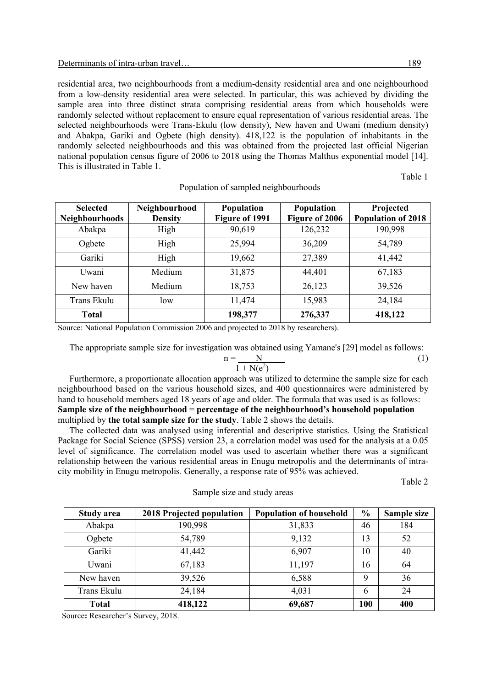residential area, two neighbourhoods from a medium-density residential area and one neighbourhood from a low-density residential area were selected. In particular, this was achieved by dividing the sample area into three distinct strata comprising residential areas from which households were randomly selected without replacement to ensure equal representation of various residential areas. The selected neighbourhoods were Trans-Ekulu (low density), New haven and Uwani (medium density) and Abakpa, Gariki and Ogbete (high density). 418,122 is the population of inhabitants in the randomly selected neighbourhoods and this was obtained from the projected last official Nigerian national population census figure of 2006 to 2018 using the Thomas Malthus exponential model [14]. This is illustrated in Table 1.

Table 1

| <b>Selected</b>       | Neighbourhood  | Population     | Population     | Projected                 |
|-----------------------|----------------|----------------|----------------|---------------------------|
| <b>Neighbourhoods</b> | <b>Density</b> | Figure of 1991 | Figure of 2006 | <b>Population of 2018</b> |
| Abakpa                | High           | 90,619         | 126,232        | 190,998                   |
| Ogbete                | High           | 25,994         | 36,209         | 54,789                    |
| Gariki                | High           | 19,662         | 27,389         | 41,442                    |
| Uwani                 | Medium         | 31,875         | 44,401         | 67,183                    |
| New haven             | Medium         | 18,753         | 26,123         | 39,526                    |
| Trans Ekulu           | low            | 11,474         | 15,983         | 24,184                    |
| Total                 |                | 198,377        | 276,337        | 418,122                   |

Population of sampled neighbourhoods

Source: National Population Commission 2006 and projected to 2018 by researchers).

The appropriate sample size for investigation was obtained using Yamane's [29] model as follows:

$$
n = \frac{N}{1 + N(e^2)}\tag{1}
$$

Furthermore, a proportionate allocation approach was utilized to determine the sample size for each neighbourhood based on the various household sizes, and 400 questionnaires were administered by hand to household members aged 18 years of age and older. The formula that was used is as follows: **Sample size of the neighbourhood** = **percentage of the neighbourhood's household population** multiplied by **the total sample size for the study**. Table 2 shows the details.

The collected data was analysed using inferential and descriptive statistics. Using the Statistical Package for Social Science (SPSS) version 23, a correlation model was used for the analysis at a 0.05 level of significance. The correlation model was used to ascertain whether there was a significant relationship between the various residential areas in Enugu metropolis and the determinants of intracity mobility in Enugu metropolis. Generally, a response rate of 95% was achieved.

Table 2

| <b>Study area</b> | 2018 Projected population | <b>Population of household</b> | $\frac{6}{6}$ | Sample size |
|-------------------|---------------------------|--------------------------------|---------------|-------------|
| Abakpa            | 190,998                   | 31,833                         | 46            | 184         |
| Ogbete            | 54,789                    | 9,132                          | 13            | 52          |
| Gariki            | 41,442                    | 6,907                          | 10            | 40          |
| Uwani             | 67,183                    | 11,197                         | 16            | 64          |
| New haven         | 39,526                    | 6,588                          | 9             | 36          |
| Trans Ekulu       | 24,184                    | 4,031                          | 6             | 24          |
| <b>Total</b>      | 418,122                   | 69,687                         | 100           | 400         |

Sample size and study areas

Source**:** Researcher's Survey, 2018.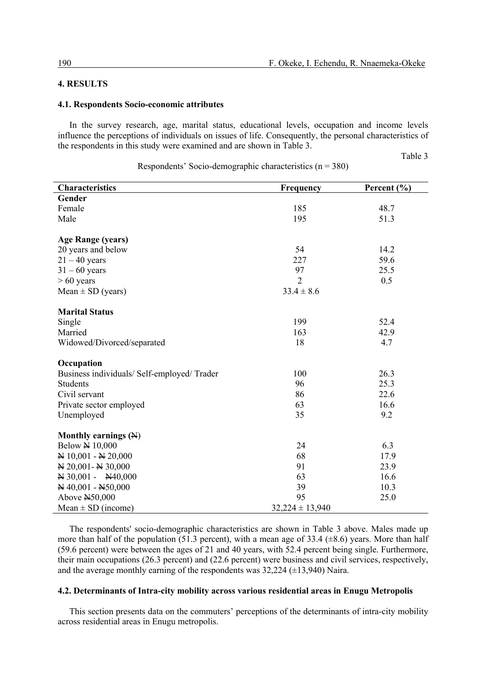# **4. RESULTS**

#### **4.1. Respondents Socio-economic attributes**

In the survey research, age, marital status, educational levels, occupation and income levels influence the perceptions of individuals on issues of life. Consequently, the personal characteristics of the respondents in this study were examined and are shown in Table 3.

Table 3

| <b>Characteristics</b>                        | <b>Frequency</b>    | Percent $(\% )$ |
|-----------------------------------------------|---------------------|-----------------|
| Gender                                        |                     |                 |
| Female                                        | 185                 | 48.7            |
| Male                                          | 195                 | 51.3            |
|                                               |                     |                 |
| <b>Age Range (years)</b>                      |                     |                 |
| 20 years and below                            | 54                  | 14.2            |
| $21 - 40$ years                               | 227                 | 59.6            |
| $31 - 60$ years                               | 97                  | 25.5            |
| $> 60$ years                                  | $\overline{2}$      | 0.5             |
| Mean $\pm$ SD (years)                         | $33.4 \pm 8.6$      |                 |
| <b>Marital Status</b>                         |                     |                 |
| Single                                        | 199                 | 52.4            |
| Married                                       | 163                 | 42.9            |
| Widowed/Divorced/separated                    | 18                  | 4.7             |
|                                               |                     |                 |
| Occupation                                    |                     |                 |
| Business individuals/ Self-employed/ Trader   | 100                 | 26.3            |
| <b>Students</b>                               | 96                  | 25.3            |
| Civil servant                                 | 86                  | 22.6            |
| Private sector employed                       | 63                  | 16.6            |
| Unemployed                                    | 35                  | 9.2             |
|                                               |                     |                 |
| Monthly earnings (N)                          |                     |                 |
| <b>Below N</b> 10,000                         | 24                  | 6.3             |
| N 10,001 - N 20,000                           | 68                  | 17.9            |
| N 20,001 - N 30,000                           | 91                  | 23.9            |
| $\overline{N}$ 30,001 - $\overline{N}$ 40,000 | 63                  | 16.6            |
| $\cancel{H}$ 40,001 - $\cancel{H}$ 50,000     | 39                  | 10.3            |
| Above N50,000                                 | 95                  | 25.0            |
| Mean $\pm$ SD (income)                        | $32,224 \pm 13,940$ |                 |

Respondents' Socio-demographic characteristics ( $n = 380$ )

The respondents' socio-demographic characteristics are shown in Table 3 above. Males made up more than half of the population (51.3 percent), with a mean age of 33.4 ( $\pm$ 8.6) years. More than half (59.6 percent) were between the ages of 21 and 40 years, with 52.4 percent being single. Furthermore, their main occupations (26.3 percent) and (22.6 percent) were business and civil services, respectively, and the average monthly earning of the respondents was  $32,224 \ (\pm 13,940)$  Naira.

#### **4.2. Determinants of Intra-city mobility across various residential areas in Enugu Metropolis**

This section presents data on the commuters' perceptions of the determinants of intra-city mobility across residential areas in Enugu metropolis.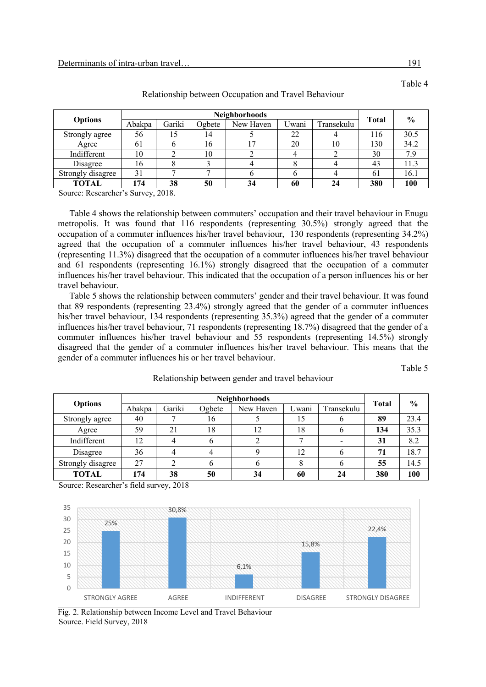| <b>Options</b>    | <b>Neighborhoods</b> |        |        |           |       |            |              | $\frac{0}{0}$ |
|-------------------|----------------------|--------|--------|-----------|-------|------------|--------------|---------------|
|                   | Abakpa               | Gariki | Ogbete | New Haven | Uwani | Transekulu | <b>Total</b> |               |
| Strongly agree    | 56                   | 15     | ،4     |           | 22    |            | 116          | 30.5          |
| Agree             | 61                   |        | 16     |           | 20    | 10         | 130          | 34.2          |
| Indifferent       | 10                   |        | 10     |           |       |            | 30           | 7.9           |
| Disagree          | 16                   |        |        |           |       |            | 43           | 11.3          |
| Strongly disagree | 31                   |        |        |           |       |            | 61           | 16.1          |
| TOTAL             | 74                   | 38     | 50     | 34        | 60    | 24         | 380          | 100           |

Relationship between Occupation and Travel Behaviour

Source: Researcher's Survey, 2018.

Table 4 shows the relationship between commuters' occupation and their travel behaviour in Enugu metropolis. It was found that 116 respondents (representing 30.5%) strongly agreed that the occupation of a commuter influences his/her travel behaviour, 130 respondents (representing 34.2%) agreed that the occupation of a commuter influences his/her travel behaviour, 43 respondents (representing 11.3%) disagreed that the occupation of a commuter influences his/her travel behaviour and 61 respondents (representing 16.1%) strongly disagreed that the occupation of a commuter influences his/her travel behaviour. This indicated that the occupation of a person influences his or her travel behaviour.

Table 5 shows the relationship between commuters' gender and their travel behaviour. It was found that 89 respondents (representing 23.4%) strongly agreed that the gender of a commuter influences his/her travel behaviour, 134 respondents (representing 35.3%) agreed that the gender of a commuter influences his/her travel behaviour, 71 respondents (representing 18.7%) disagreed that the gender of a commuter influences his/her travel behaviour and 55 respondents (representing 14.5%) strongly disagreed that the gender of a commuter influences his/her travel behaviour. This means that the gender of a commuter influences his or her travel behaviour.

Table 5

|                   | <b>Neighborhoods</b> |        |        |           |       |            |              | $\frac{0}{0}$ |
|-------------------|----------------------|--------|--------|-----------|-------|------------|--------------|---------------|
| <b>Options</b>    | Abakpa               | Gariki | Ogbete | New Haven | Uwani | Transekulu | <b>Total</b> |               |
| Strongly agree    | 40                   |        | 16     |           | 15    |            | 89           | 23.4          |
| Agree             | 59                   | 21     | 18     | 12        | 18    |            | 134          | 35.3          |
| Indifferent       | 12                   |        |        |           |       |            | 31           | 8.2           |
| Disagree          | 36                   |        |        |           | 12    |            | 71           | 18.7          |
| Strongly disagree | 27                   |        |        | O         |       |            | 55           | 14.5          |
| <b>TOTAL</b>      | 174                  | 38     | 50     | 34        | 60    | 24         | 380          | 100           |

Relationship between gender and travel behaviour

Source: Researcher's field survey, 2018



Fig. 2. Relationship between Income Level and Travel Behaviour Source. Field Survey, 2018

Table 4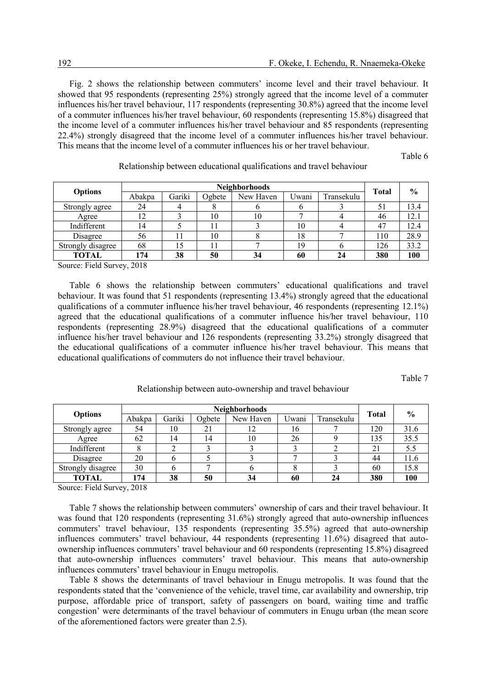Fig. 2 shows the relationship between commuters' income level and their travel behaviour. It showed that 95 respondents (representing 25%) strongly agreed that the income level of a commuter influences his/her travel behaviour, 117 respondents (representing 30.8%) agreed that the income level of a commuter influences his/her travel behaviour, 60 respondents (representing 15.8%) disagreed that the income level of a commuter influences his/her travel behaviour and 85 respondents (representing 22.4%) strongly disagreed that the income level of a commuter influences his/her travel behaviour. This means that the income level of a commuter influences his or her travel behaviour.

Table 6

| <b>Neighborhoods</b> |        |        |           |       |            |     | $\frac{6}{9}$ |
|----------------------|--------|--------|-----------|-------|------------|-----|---------------|
| Abakpa               | Gariki | Ogbete | New Haven | Uwani | Transekulu |     |               |
| 24                   |        | Ω      |           |       |            | 51  | 13.4          |
| 12                   |        | 10     | 10        |       |            | 46  | 12.1          |
| 14                   |        | l 1    |           | 10    |            | 47  | 12.4          |
| 56                   |        | 10     |           | 18    |            | 110 | 28.9          |
| 68                   | 15     | 11     |           | 19    |            | 126 | 33.2          |
| 174                  | 38     | 50     | 34        | 60    | 24         | 380 | 100           |
|                      |        |        |           |       |            |     | <b>Total</b>  |

Relationship between educational qualifications and travel behaviour

Source: Field Survey, 2018

Table 6 shows the relationship between commuters' educational qualifications and travel behaviour. It was found that 51 respondents (representing 13.4%) strongly agreed that the educational qualifications of a commuter influence his/her travel behaviour, 46 respondents (representing 12.1%) agreed that the educational qualifications of a commuter influence his/her travel behaviour, 110 respondents (representing 28.9%) disagreed that the educational qualifications of a commuter influence his/her travel behaviour and 126 respondents (representing 33.2%) strongly disagreed that the educational qualifications of a commuter influence his/her travel behaviour. This means that educational qualifications of commuters do not influence their travel behaviour.

Table 7

|                   | <b>Neighborhoods</b> |        |        |           |       |            |              | $\frac{6}{9}$ |
|-------------------|----------------------|--------|--------|-----------|-------|------------|--------------|---------------|
| <b>Options</b>    | Abakpa               | Gariki | Ogbete | New Haven | Uwani | Transekulu | <b>Total</b> |               |
| Strongly agree    | 54                   | 10     | 21     | 12        | 16    |            | 120          | 31.6          |
| Agree             | 62                   | 14     | 14     | 10        | 26    |            | 135          | 35.5          |
| Indifferent       |                      |        |        |           |       |            | 21           | 5.5           |
| Disagree          | 20                   |        |        |           |       |            | 44           | 11.6          |
| Strongly disagree | 30                   |        |        |           |       |            | 60           | 15.8          |
| TOTAL             | 174                  | 38     | 50     | 34        | 60    | 24         | 380          | 100           |

Relationship between auto-ownership and travel behaviour

Source: Field Survey, 2018

Table 7 shows the relationship between commuters' ownership of cars and their travel behaviour. It was found that 120 respondents (representing 31.6%) strongly agreed that auto-ownership influences commuters' travel behaviour, 135 respondents (representing 35.5%) agreed that auto-ownership influences commuters' travel behaviour, 44 respondents (representing 11.6%) disagreed that autoownership influences commuters' travel behaviour and 60 respondents (representing 15.8%) disagreed that auto-ownership influences commuters' travel behaviour. This means that auto-ownership influences commuters' travel behaviour in Enugu metropolis.

Table 8 shows the determinants of travel behaviour in Enugu metropolis. It was found that the respondents stated that the 'convenience of the vehicle, travel time, car availability and ownership, trip purpose, affordable price of transport, safety of passengers on board, waiting time and traffic congestion' were determinants of the travel behaviour of commuters in Enugu urban (the mean score of the aforementioned factors were greater than 2.5).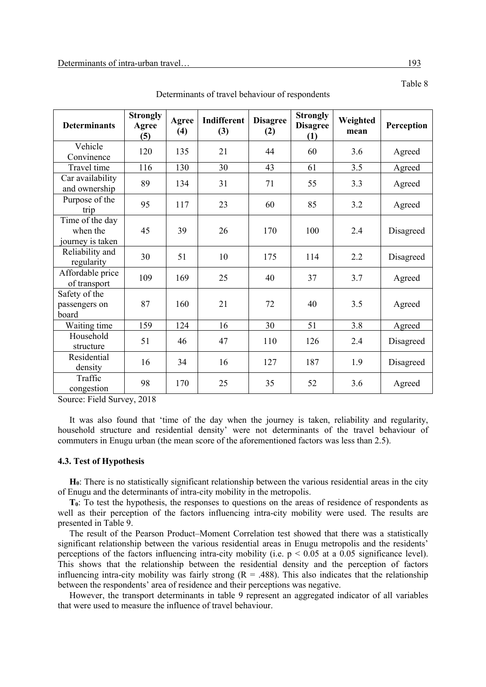| <b>Determinants</b>                             | <b>Strongly</b><br>Agree<br>(5) | Agree<br>(4) | Indifferent<br>(3) | <b>Disagree</b><br>(2) | <b>Strongly</b><br><b>Disagree</b><br>(1) | Weighted<br>mean | Perception |
|-------------------------------------------------|---------------------------------|--------------|--------------------|------------------------|-------------------------------------------|------------------|------------|
| Vehicle<br>Convinence                           | 120                             | 135          | 21                 | 44                     | 60                                        | 3.6              | Agreed     |
| Travel time                                     | 116                             | 130          | 30                 | 43                     | 61                                        | 3.5              | Agreed     |
| Car availability<br>and ownership               | 89                              | 134          | 31                 | 71                     | 55                                        | 3.3              | Agreed     |
| Purpose of the<br>trip                          | 95                              | 117          | 23                 | 60                     | 85                                        | 3.2              | Agreed     |
| Time of the day<br>when the<br>journey is taken | 45                              | 39           | 26                 | 170                    | 100                                       | 2.4              | Disagreed  |
| Reliability and<br>regularity                   | 30                              | 51           | 10                 | 175                    | 114                                       | 2.2              | Disagreed  |
| Affordable price<br>of transport                | 109                             | 169          | 25                 | 40                     | 37                                        | 3.7              | Agreed     |
| Safety of the<br>passengers on<br>board         | 87                              | 160          | 21                 | 72                     | 40                                        | 3.5              | Agreed     |
| Waiting time                                    | 159                             | 124          | 16                 | 30                     | 51                                        | 3.8              | Agreed     |
| Household<br>structure                          | 51                              | 46           | 47                 | 110                    | 126                                       | 2.4              | Disagreed  |
| Residential<br>density                          | 16                              | 34           | 16                 | 127                    | 187                                       | 1.9              | Disagreed  |
| Traffic<br>congestion                           | 98                              | 170          | 25                 | 35                     | 52                                        | 3.6              | Agreed     |

Determinants of travel behaviour of respondents

Source: Field Survey, 2018

It was also found that 'time of the day when the journey is taken, reliability and regularity, household structure and residential density' were not determinants of the travel behaviour of commuters in Enugu urban (the mean score of the aforementioned factors was less than 2.5).

# **4.3. Test of Hypothesis**

**H0**: There is no statistically significant relationship between the various residential areas in the city of Enugu and the determinants of intra-city mobility in the metropolis.

**T0**: To test the hypothesis, the responses to questions on the areas of residence of respondents as well as their perception of the factors influencing intra-city mobility were used. The results are presented in Table 9.

The result of the Pearson Product–Moment Correlation test showed that there was a statistically significant relationship between the various residential areas in Enugu metropolis and the residents' perceptions of the factors influencing intra-city mobility (i.e.  $p < 0.05$  at a 0.05 significance level). This shows that the relationship between the residential density and the perception of factors influencing intra-city mobility was fairly strong  $(R = .488)$ . This also indicates that the relationship between the respondents' area of residence and their perceptions was negative.

However, the transport determinants in table 9 represent an aggregated indicator of all variables that were used to measure the influence of travel behaviour.

Table 8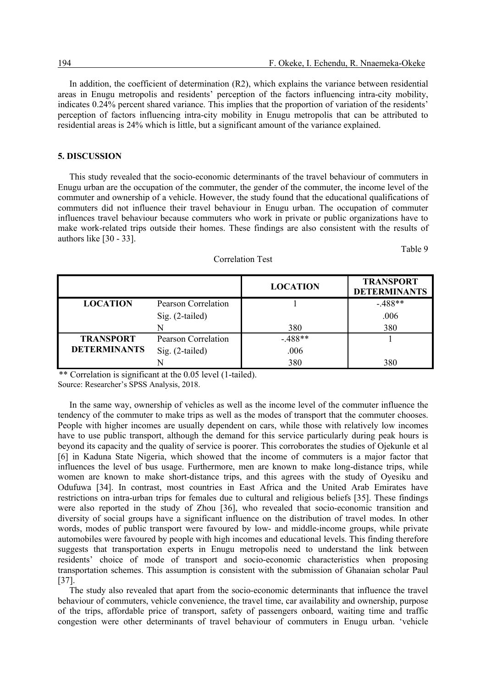In addition, the coefficient of determination (R2), which explains the variance between residential areas in Enugu metropolis and residents' perception of the factors influencing intra-city mobility, indicates 0.24% percent shared variance. This implies that the proportion of variation of the residents' perception of factors influencing intra-city mobility in Enugu metropolis that can be attributed to residential areas is 24% which is little, but a significant amount of the variance explained.

### **5. DISCUSSION**

This study revealed that the socio-economic determinants of the travel behaviour of commuters in Enugu urban are the occupation of the commuter, the gender of the commuter, the income level of the commuter and ownership of a vehicle. However, the study found that the educational qualifications of commuters did not influence their travel behaviour in Enugu urban. The occupation of commuter influences travel behaviour because commuters who work in private or public organizations have to make work-related trips outside their homes. These findings are also consistent with the results of authors like [30 - 33].

Table 9

|                     |                     | <b>LOCATION</b> | <b>TRANSPORT</b><br><b>DETERMINANTS</b> |
|---------------------|---------------------|-----------------|-----------------------------------------|
| <b>LOCATION</b>     | Pearson Correlation |                 | $-.488**$                               |
|                     | Sig. (2-tailed)     |                 | .006                                    |
|                     | N                   | 380             | 380                                     |
| <b>TRANSPORT</b>    | Pearson Correlation | $-.488**$       |                                         |
| <b>DETERMINANTS</b> | Sig. (2-tailed)     | .006            |                                         |
|                     |                     | 380             | 380                                     |

#### Correlation Test

\*\* Correlation is significant at the 0.05 level (1-tailed).

Source: Researcher's SPSS Analysis, 2018.

In the same way, ownership of vehicles as well as the income level of the commuter influence the tendency of the commuter to make trips as well as the modes of transport that the commuter chooses. People with higher incomes are usually dependent on cars, while those with relatively low incomes have to use public transport, although the demand for this service particularly during peak hours is beyond its capacity and the quality of service is poorer. This corroborates the studies of Ojekunle et al [6] in Kaduna State Nigeria, which showed that the income of commuters is a major factor that influences the level of bus usage. Furthermore, men are known to make long-distance trips, while women are known to make short-distance trips, and this agrees with the study of Oyesiku and Odufuwa [34]. In contrast, most countries in East Africa and the United Arab Emirates have restrictions on intra-urban trips for females due to cultural and religious beliefs [35]. These findings were also reported in the study of Zhou [36], who revealed that socio-economic transition and diversity of social groups have a significant influence on the distribution of travel modes. In other words, modes of public transport were favoured by low- and middle-income groups, while private automobiles were favoured by people with high incomes and educational levels. This finding therefore suggests that transportation experts in Enugu metropolis need to understand the link between residents' choice of mode of transport and socio-economic characteristics when proposing transportation schemes. This assumption is consistent with the submission of Ghanaian scholar Paul [37].

The study also revealed that apart from the socio-economic determinants that influence the travel behaviour of commuters, vehicle convenience, the travel time, car availability and ownership, purpose of the trips, affordable price of transport, safety of passengers onboard, waiting time and traffic congestion were other determinants of travel behaviour of commuters in Enugu urban. 'vehicle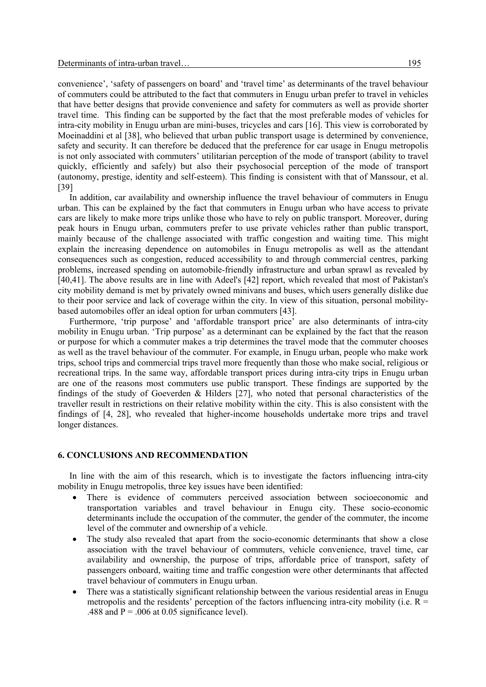convenience', 'safety of passengers on board' and 'travel time' as determinants of the travel behaviour of commuters could be attributed to the fact that commuters in Enugu urban prefer to travel in vehicles that have better designs that provide convenience and safety for commuters as well as provide shorter travel time. This finding can be supported by the fact that the most preferable modes of vehicles for intra-city mobility in Enugu urban are mini-buses, tricycles and cars [16]. This view is corroborated by Moeinaddini et al [38], who believed that urban public transport usage is determined by convenience, safety and security. It can therefore be deduced that the preference for car usage in Enugu metropolis is not only associated with commuters' utilitarian perception of the mode of transport (ability to travel quickly, efficiently and safely) but also their psychosocial perception of the mode of transport (autonomy, prestige, identity and self-esteem). This finding is consistent with that of Manssour, et al. [39]

In addition, car availability and ownership influence the travel behaviour of commuters in Enugu urban. This can be explained by the fact that commuters in Enugu urban who have access to private cars are likely to make more trips unlike those who have to rely on public transport. Moreover, during peak hours in Enugu urban, commuters prefer to use private vehicles rather than public transport, mainly because of the challenge associated with traffic congestion and waiting time. This might explain the increasing dependence on automobiles in Enugu metropolis as well as the attendant consequences such as congestion, reduced accessibility to and through commercial centres, parking problems, increased spending on automobile-friendly infrastructure and urban sprawl as revealed by [40,41]. The above results are in line with Adeel's [42] report, which revealed that most of Pakistan's city mobility demand is met by privately owned minivans and buses, which users generally dislike due to their poor service and lack of coverage within the city. In view of this situation, personal mobilitybased automobiles offer an ideal option for urban commuters [43].

Furthermore, 'trip purpose' and 'affordable transport price' are also determinants of intra-city mobility in Enugu urban. 'Trip purpose' as a determinant can be explained by the fact that the reason or purpose for which a commuter makes a trip determines the travel mode that the commuter chooses as well as the travel behaviour of the commuter. For example, in Enugu urban, people who make work trips, school trips and commercial trips travel more frequently than those who make social, religious or recreational trips. In the same way, affordable transport prices during intra-city trips in Enugu urban are one of the reasons most commuters use public transport. These findings are supported by the findings of the study of Goeverden & Hilders [27], who noted that personal characteristics of the traveller result in restrictions on their relative mobility within the city. This is also consistent with the findings of [4, 28], who revealed that higher-income households undertake more trips and travel longer distances.

#### **6. CONCLUSIONS AND RECOMMENDATION**

In line with the aim of this research, which is to investigate the factors influencing intra-city mobility in Enugu metropolis, three key issues have been identified:

- There is evidence of commuters perceived association between socioeconomic and transportation variables and travel behaviour in Enugu city. These socio-economic determinants include the occupation of the commuter, the gender of the commuter, the income level of the commuter and ownership of a vehicle.
- The study also revealed that apart from the socio-economic determinants that show a close association with the travel behaviour of commuters, vehicle convenience, travel time, car availability and ownership, the purpose of trips, affordable price of transport, safety of passengers onboard, waiting time and traffic congestion were other determinants that affected travel behaviour of commuters in Enugu urban.
- There was a statistically significant relationship between the various residential areas in Enugu metropolis and the residents' perception of the factors influencing intra-city mobility (i.e.  $R =$ .488 and  $P = 0.006$  at 0.05 significance level).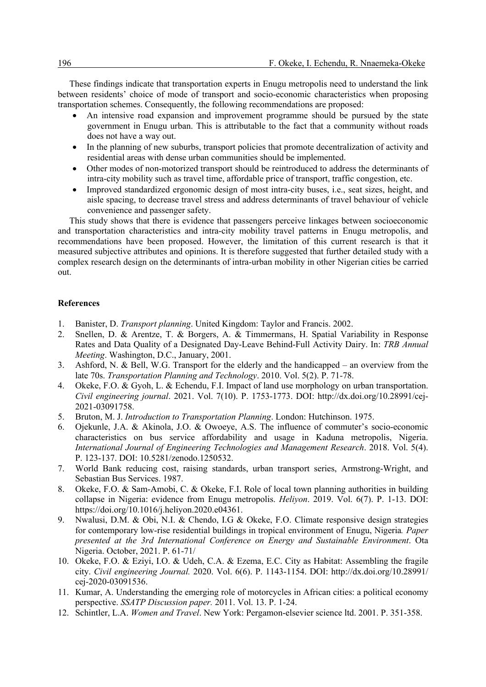These findings indicate that transportation experts in Enugu metropolis need to understand the link between residents' choice of mode of transport and socio-economic characteristics when proposing transportation schemes. Consequently, the following recommendations are proposed:

- An intensive road expansion and improvement programme should be pursued by the state government in Enugu urban. This is attributable to the fact that a community without roads does not have a way out.
- In the planning of new suburbs, transport policies that promote decentralization of activity and residential areas with dense urban communities should be implemented.
- Other modes of non-motorized transport should be reintroduced to address the determinants of intra-city mobility such as travel time, affordable price of transport, traffic congestion, etc.
- Improved standardized ergonomic design of most intra-city buses, i.e., seat sizes, height, and aisle spacing, to decrease travel stress and address determinants of travel behaviour of vehicle convenience and passenger safety.

This study shows that there is evidence that passengers perceive linkages between socioeconomic and transportation characteristics and intra-city mobility travel patterns in Enugu metropolis, and recommendations have been proposed. However, the limitation of this current research is that it measured subjective attributes and opinions. It is therefore suggested that further detailed study with a complex research design on the determinants of intra-urban mobility in other Nigerian cities be carried out.

### **References**

- 1. Banister, D. *Transport planning*. United Kingdom: Taylor and Francis. 2002.
- 2. Snellen, D. & Arentze, T. & Borgers, A. & Timmermans, H. Spatial Variability in Response Rates and Data Quality of a Designated Day-Leave Behind-Full Activity Dairy. In: *TRB Annual Meeting*. Washington, D.C., January, 2001.
- 3. Ashford, N. & Bell, W.G. Transport for the elderly and the handicapped an overview from the late 70s. *Transportation Planning and Technology*. 2010. Vol. 5(2). P. 71-78.
- 4. Okeke, F.O. & Gyoh, L. & Echendu, F.I. Impact of land use morphology on urban transportation. *Civil engineering journal*. 2021. Vol. 7(10). P. 1753-1773. DOI: http://dx.doi.org/10.28991/cej-2021-03091758.
- 5. Bruton, M. J. *Introduction to Transportation Planning*. London: Hutchinson. 1975.
- 6. Ojekunle, J.A. & Akinola, J.O. & Owoeye, A.S. The influence of commuter's socio-economic characteristics on bus service affordability and usage in Kaduna metropolis, Nigeria. *International Journal of Engineering Technologies and Management Research*. 2018. Vol. 5(4). P. 123-137. DOI: 10.5281/zenodo.1250532.
- 7. World Bank reducing cost, raising standards, urban transport series, Armstrong-Wright, and Sebastian Bus Services. 1987.
- 8. Okeke, F.O. & Sam-Amobi, C. & Okeke, F.I. Role of local town planning authorities in building collapse in Nigeria: evidence from Enugu metropolis. *Heliyon*. 2019. Vol. 6(7). P. 1-13. DOI: https://doi.org/10.1016/j.heliyon.2020.e04361.
- 9. Nwalusi, D.M. & Obi, N.I. & Chendo, I.G & Okeke, F.O. Climate responsive design strategies for contemporary low-rise residential buildings in tropical environment of Enugu, Nigeria*. Paper presented at the 3rd International Conference on Energy and Sustainable Environment*. Ota Nigeria. October, 2021. P. 61-71/
- 10. Okeke, F.O. & Eziyi, I.O. & Udeh, C.A. & Ezema, E.C. City as Habitat: Assembling the fragile city. *Civil engineering Journal.* 2020. Vol. 6(6). P. 1143-1154. DOI: http://dx.doi.org/10.28991/ cej-2020-03091536.
- 11. Kumar, A. Understanding the emerging role of motorcycles in African cities: a political economy perspective. *SSATP Discussion paper.* 2011. Vol. 13. P. 1-24.
- 12. Schintler, L.A. *Women and Travel*. New York: Pergamon-elsevier science ltd. 2001. P. 351-358.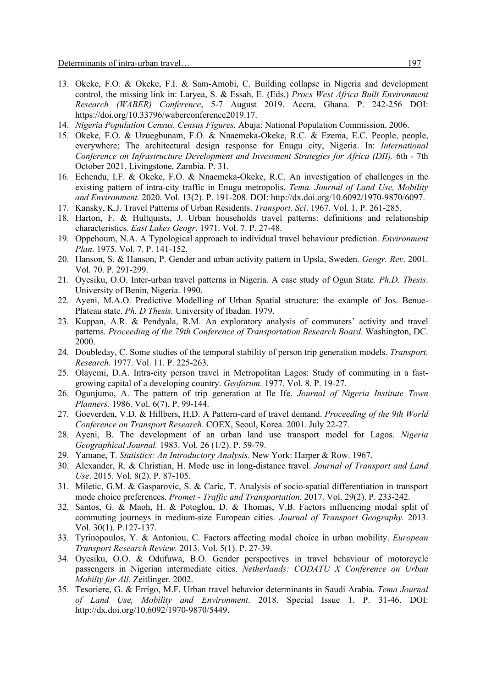- 13. Okeke, F.O. & Okeke, F.I. & Sam-Amobi, C. Building collapse in Nigeria and development control, the missing link in: Laryea, S. & Essah, E. (Eds.) *Procs West Africa Built Environment Research (WABER) Conference*, 5-7 August 2019. Accra, Ghana. P. 242-256 DOI: https://doi.org/10.33796/waberconference2019.17.
- 14. *Nigeria Population Census. Census Figures.* Abuja: National Population Commission. 2006.
- 15. Okeke, F.O. & Uzuegbunam, F.O. & Nnaemeka-Okeke, R.C. & Ezema, E.C. People, people, everywhere; The architectural design response for Enugu city, Nigeria. In: *International Conference on Infrastructure Development and Investment Strategies for Africa (DII).* 6th - 7th October 2021. Livingstone, Zambia. P. 31.
- 16. Echendu, I.F. & Okeke, F.O. & Nnaemeka-Okeke, R.C. An investigation of challenges in the existing pattern of intra-city traffic in Enugu metropolis. *Tema. Journal of Land Use, Mobility and Environment.* 2020. Vol. 13(2). P. 191-208. DOI: http://dx.doi.org/10.6092/1970-9870/6097.
- 17. Kansky, K.J. Travel Patterns of Urban Residents. *Transport. Sci*. 1967. Vol. 1. P. 261-285.
- 18. Harton, F. & Hultquists, J. Urban households travel patterns: definitions and relationship characteristics*. East Lakes Geogr*. 1971. Vol. 7. P. 27-48.
- 19. Oppehoum, N.A. A Typological approach to individual travel behaviour prediction. *Environment Plan*. 1975. Vol. 7. P. 141-152.
- 20. Hanson, S. & Hanson, P. Gender and urban activity pattern in Upsla, Sweden. *Geogr. Rev*. 2001. Vol. 70. P. 291-299.
- 21. Oyesiku, O.O. Inter-urban travel patterns in Nigeria. A case study of Ogun State*. Ph.D. Thesis*. University of Benin, Nigeria. 1990.
- 22. Ayeni, M.A.O. Predictive Modelling of Urban Spatial structure: the example of Jos. Benue-Plateau state. *Ph. D Thesis.* University of Ibadan. 1979.
- 23. Kuppan, A.R. & Pendyala, R.M. An exploratory analysis of commuters' activity and travel patterns. *Proceeding of the 79th Conference of Transportation Research Board*. Washington, DC. 2000.
- 24. Doubleday, C. Some studies of the temporal stability of person trip generation models. *Transport. Research*. 1977. Vol. 11. P. 225-263.
- 25. Olayemi, D.A. Intra-city person travel in Metropolitan Lagos: Study of commuting in a fastgrowing capital of a developing country. *Geoforum.* 1977. Vol. 8. P. 19-27.
- 26. Ogunjumo, A. The pattern of trip generation at Ile Ife. *Journal of Nigeria Institute Town Planners*. 1986. Vol. 6(7). P. 99-144.
- 27. Goeverden, V.D. & Hillbers, H.D. A Pattern-card of travel demand. *Proceeding of the 9th World Conference on Transport Research*. COEX, Seoul, Korea. 2001. July 22-27.
- 28. Ayeni, B. The development of an urban land use transport model for Lagos. *Nigeria Geographical Journal.* 1983. Vol. 26 (1/2). P. 59-79.
- 29. Yamane, T. *Statistics: An Introductory Analysis*. New York: Harper & Row. 1967.
- 30. Alexander, R. & Christian, H. Mode use in long-distance travel. *Journal of Transport and Land Use*. 2015. Vol. 8(2). P. 87-105.
- 31. Miletic, G.M. & Gasparovic, S. & Caric, T. Analysis of socio-spatial differentiation in transport mode choice preferences. *Promet - Traffic and Transportation.* 2017. Vol. 29(2). P. 233-242.
- 32. Santos, G. & Maoh, H. & Potoglou, D. & Thomas, V.B. Factors influencing modal split of commuting journeys in medium-size European cities. *Journal of Transport Geography.* 2013. Vol. 30(1). P.127-137.
- 33. Tyrinopoulos, Y. & Antoniou, C. Factors affecting modal choice in urban mobility. *European Transport Research Review.* 2013. Vol. 5(1). P. 27-39.
- 34. Oyesiku, O.O. & Odufuwa, B.O. Gender perspectives in travel behaviour of motorcycle passengers in Nigerian intermediate cities. *Netherlands: CODATU X Conference on Urban Mobilty for All.* Zeitlinger. 2002.
- 35. Tesoriere, G. & Errigo, M.F. Urban travel behavior determinants in Saudi Arabia. *Tema Journal of Land Use, Mobility and Environment*. 2018. Special Issue 1. P. 31-46. DOI: http://dx.doi.org/10.6092/1970-9870/5449.